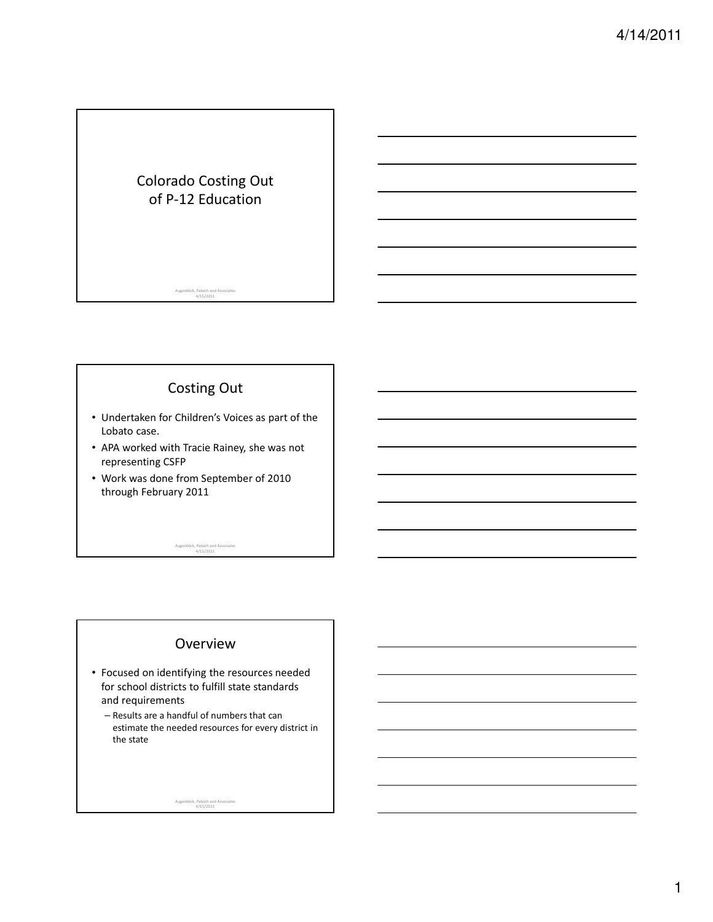## Colorado Costing Out of P-12 Education

# Costing Out

Augenblick, Palaich and Associates 4/15/2011

- Undertaken for Children's Voices as part of the Lobato case.
- APA worked with Tracie Rainey, she was not representing CSFP
- Work was done from September of 2010 through February 2011

Augenblick, Palaich and Associates 4/15/2011

#### Overview

- Focused on identifying the resources needed for school districts to fulfill state standards and requirements
	- Results are a handful of numbers that can estimate the needed resources for every district in the state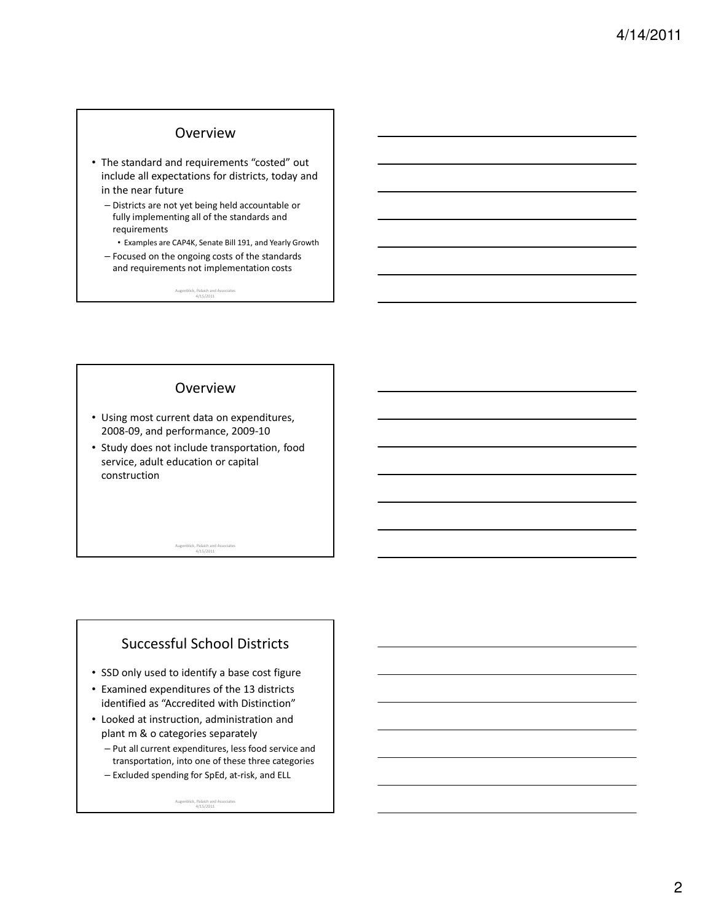#### Overview

- The standard and requirements "costed" out include all expectations for districts, today and in the near future
	- Districts are not yet being held accountable or fully implementing all of the standards and requirements
		- Examples are CAP4K, Senate Bill 191, and Yearly Growth
	- Focused on the ongoing costs of the standards and requirements not implementation costs

Augenblick, Palaich and Associates 4/15/2011

#### Overview

- Using most current data on expenditures, 2008-09, and performance, 2009-10
- Study does not include transportation, food service, adult education or capital construction

Augenblick, Palaich and Associates 4/15/2011

### Successful School Districts

- SSD only used to identify a base cost figure
- Examined expenditures of the 13 districts identified as "Accredited with Distinction"
- Looked at instruction, administration and plant m & o categories separately
	- Put all current expenditures, less food service and transportation, into one of these three categories – Excluded spending for SpEd, at-risk, and ELL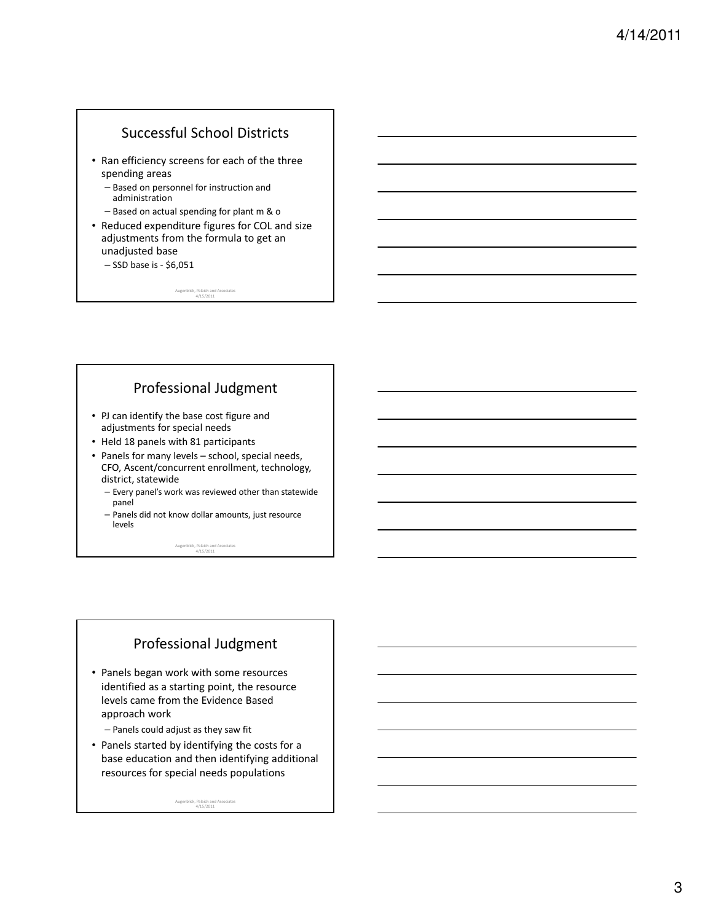## Successful School Districts

- Ran efficiency screens for each of the three spending areas
	- Based on personnel for instruction and administration
	- Based on actual spending for plant m & o
- Reduced expenditure figures for COL and size adjustments from the formula to get an unadjusted base

4/15/2011

– SSD base is - \$6,051

Augenblick, Palaich and Associates

### Professional Judgment

- PJ can identify the base cost figure and adjustments for special needs
- Held 18 panels with 81 participants
- Panels for many levels school, special needs, CFO, Ascent/concurrent enrollment, technology, district, statewide
	- Every panel's work was reviewed other than statewide panel
	- Panels did not know dollar amounts, just resource levels

Augenblick, Palaich and Associates 4/15/2011

## Professional Judgment

• Panels began work with some resources identified as a starting point, the resource levels came from the Evidence Based approach work

– Panels could adjust as they saw fit

• Panels started by identifying the costs for a base education and then identifying additional resources for special needs populations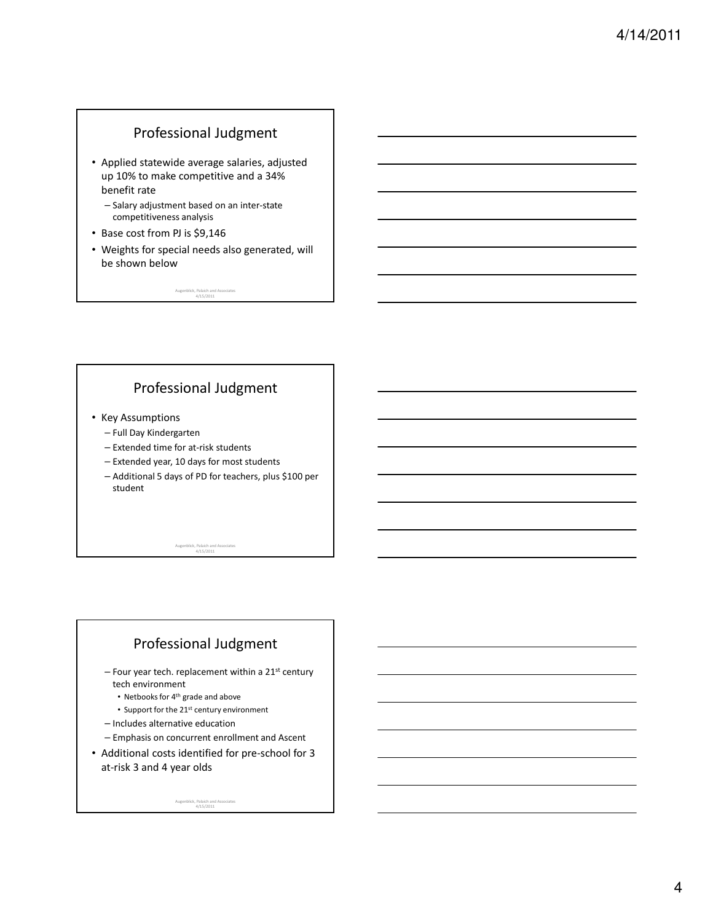### Professional Judgment

- Applied statewide average salaries, adjusted up 10% to make competitive and a 34% benefit rate
	- Salary adjustment based on an inter-state competitiveness analysis
- Base cost from PJ is \$9,146
- Weights for special needs also generated, will be shown below

Augenblick, Palaich and Associates 4/15/2011

## Professional Judgment

- Key Assumptions
	- Full Day Kindergarten
	- Extended time for at-risk students
	- Extended year, 10 days for most students
	- Additional 5 days of PD for teachers, plus \$100 per student

Augenblick, Palaich and Associates 4/15/2011

# Professional Judgment

- $-$  Four year tech. replacement within a 21st century tech environment
	- Netbooks for 4th grade and above
	- Support for the 21<sup>st</sup> century environment
- Includes alternative education
- Emphasis on concurrent enrollment and Ascent
- Additional costs identified for pre-school for 3 at-risk 3 and 4 year olds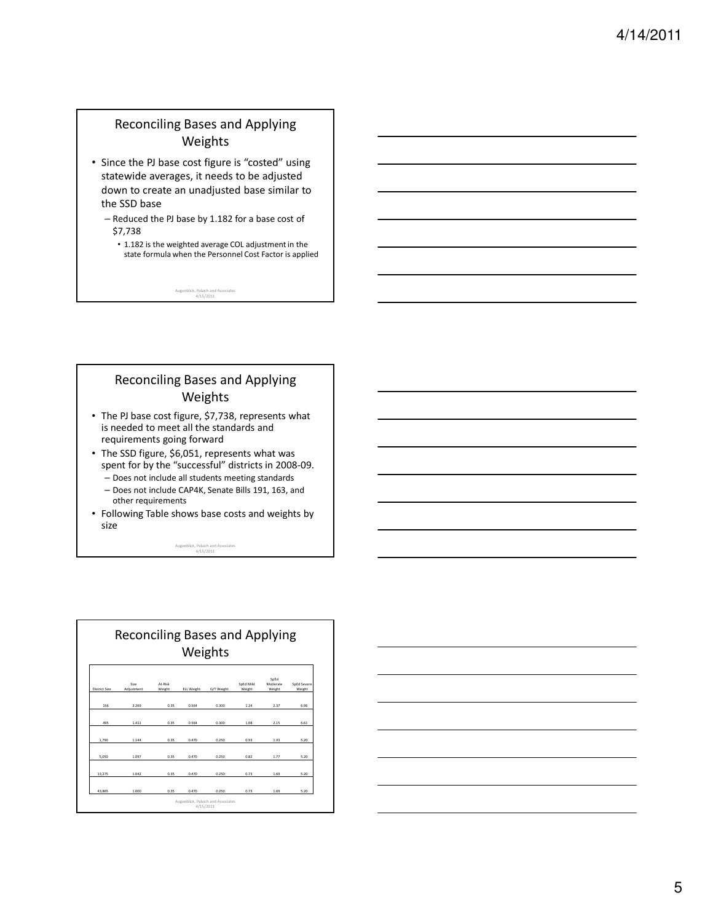#### Reconciling Bases and Applying Weights

- Since the PJ base cost figure is "costed" using statewide averages, it needs to be adjusted down to create an unadjusted base similar to the SSD base
	- Reduced the PJ base by 1.182 for a base cost of \$7,738
		- 1.182 is the weighted average COL adjustment in the state formula when the Personnel Cost Factor is applied

Augenblick, Palaich and Associates 4/15/2011

#### Reconciling Bases and Applying Weights

- The PJ base cost figure, \$7,738, represents what is needed to meet all the standards and requirements going forward
- The SSD figure, \$6,051, represents what was spent for by the "successful" districts in 2008-09.
	- Does not include all students meeting standards
	- Does not include CAP4K, Senate Bills 191, 163, and other requirements
- Following Table shows base costs and weights by size